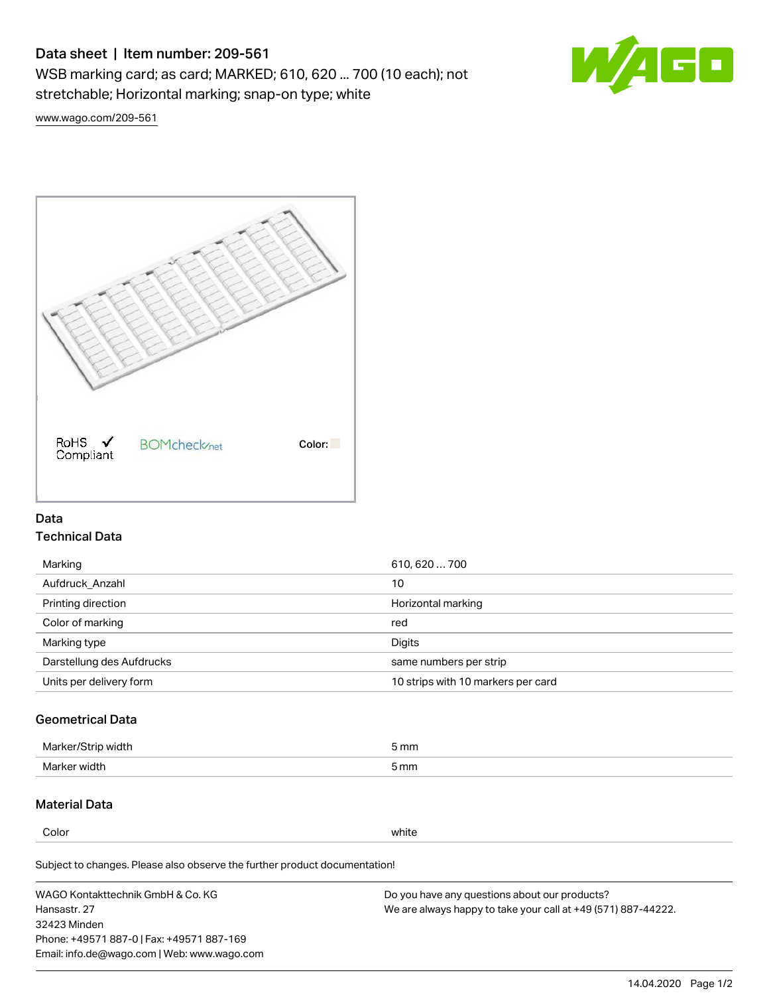# Data sheet | Item number: 209-561

WSB marking card; as card; MARKED; 610, 620 ... 700 (10 each); not stretchable; Horizontal marking; snap-on type; white



[www.wago.com/209-561](http://www.wago.com/209-561)



### Data Technical Data

| Marking                   | 610, 620  700                      |
|---------------------------|------------------------------------|
| Aufdruck Anzahl           | 10                                 |
| Printing direction        | Horizontal marking                 |
| Color of marking          | red                                |
| Marking type              | Digits                             |
| Darstellung des Aufdrucks | same numbers per strip             |
| Units per delivery form   | 10 strips with 10 markers per card |

# Geometrical Data

| طلقاء ئ<br><b>Marker</b><br>widtr | ັກmm |
|-----------------------------------|------|
| Marker width                      | 5 mm |

## Material Data

Color white

Subject to changes. Please also observe the further product documentation!

WAGO Kontakttechnik GmbH & Co. KG Hansastr. 27 32423 Minden Phone: +49571 887-0 | Fax: +49571 887-169 Email: info.de@wago.com | Web: www.wago.com Do you have any questions about our products? We are always happy to take your call at +49 (571) 887-44222.